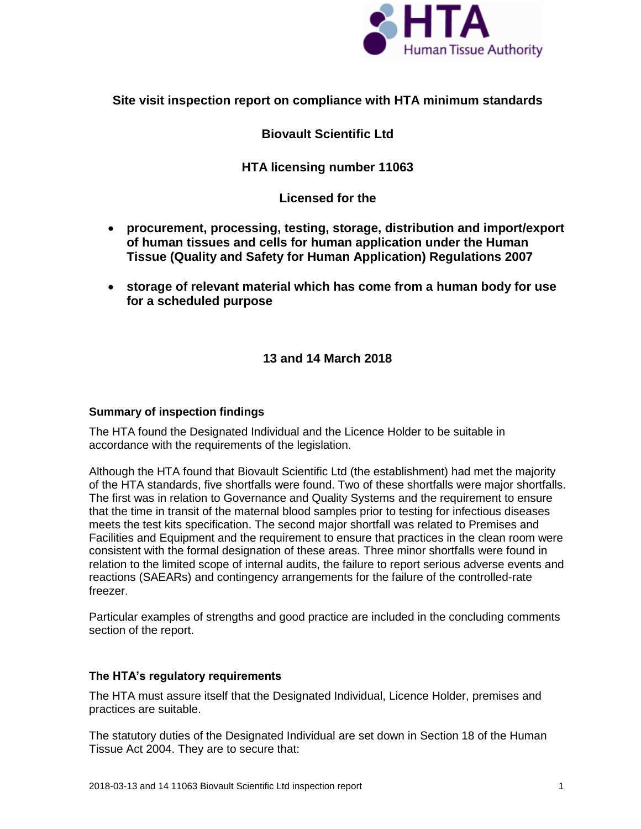

# **Site visit inspection report on compliance with HTA minimum standards**

# **Biovault Scientific Ltd**

# **HTA licensing number 11063**

**Licensed for the**

- **procurement, processing, testing, storage, distribution and import/export of human tissues and cells for human application under the Human Tissue (Quality and Safety for Human Application) Regulations 2007**
- **storage of relevant material which has come from a human body for use for a scheduled purpose**

# **13 and 14 March 2018**

## **Summary of inspection findings**

The HTA found the Designated Individual and the Licence Holder to be suitable in accordance with the requirements of the legislation.

Although the HTA found that Biovault Scientific Ltd (the establishment) had met the majority of the HTA standards, five shortfalls were found. Two of these shortfalls were major shortfalls. The first was in relation to Governance and Quality Systems and the requirement to ensure that the time in transit of the maternal blood samples prior to testing for infectious diseases meets the test kits specification. The second major shortfall was related to Premises and Facilities and Equipment and the requirement to ensure that practices in the clean room were consistent with the formal designation of these areas. Three minor shortfalls were found in relation to the limited scope of internal audits, the failure to report serious adverse events and reactions (SAEARs) and contingency arrangements for the failure of the controlled-rate freezer.

Particular examples of strengths and good practice are included in the concluding comments section of the report.

## **The HTA's regulatory requirements**

The HTA must assure itself that the Designated Individual, Licence Holder, premises and practices are suitable.

The statutory duties of the Designated Individual are set down in Section 18 of the Human Tissue Act 2004. They are to secure that: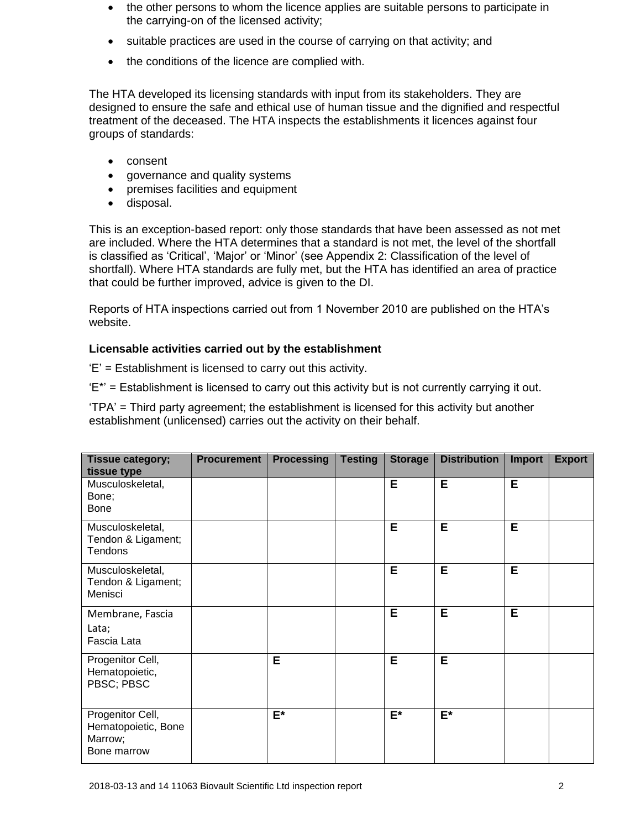- the other persons to whom the licence applies are suitable persons to participate in the carrying-on of the licensed activity;
- suitable practices are used in the course of carrying on that activity; and
- the conditions of the licence are complied with.

The HTA developed its licensing standards with input from its stakeholders. They are designed to ensure the safe and ethical use of human tissue and the dignified and respectful treatment of the deceased. The HTA inspects the establishments it licences against four groups of standards:

- consent
- governance and quality systems
- premises facilities and equipment
- disposal.

This is an exception-based report: only those standards that have been assessed as not met are included. Where the HTA determines that a standard is not met, the level of the shortfall is classified as 'Critical', 'Major' or 'Minor' (see Appendix 2: Classification of the level of shortfall). Where HTA standards are fully met, but the HTA has identified an area of practice that could be further improved, advice is given to the DI.

Reports of HTA inspections carried out from 1 November 2010 are published on the HTA's website.

## **Licensable activities carried out by the establishment**

'E' = Establishment is licensed to carry out this activity.

'E\*' = Establishment is licensed to carry out this activity but is not currently carrying it out.

'TPA' = Third party agreement; the establishment is licensed for this activity but another establishment (unlicensed) carries out the activity on their behalf.

| Tissue category;<br>tissue type                                   | <b>Procurement</b> | <b>Processing</b> | <b>Testing</b> | <b>Storage</b> | <b>Distribution</b> | <b>Import</b> | <b>Export</b> |
|-------------------------------------------------------------------|--------------------|-------------------|----------------|----------------|---------------------|---------------|---------------|
| Musculoskeletal,<br>Bone;<br><b>Bone</b>                          |                    |                   |                | E              | E                   | E             |               |
| Musculoskeletal,<br>Tendon & Ligament;<br>Tendons                 |                    |                   |                | E              | E                   | E             |               |
| Musculoskeletal,<br>Tendon & Ligament;<br>Menisci                 |                    |                   |                | E              | Е                   | E.            |               |
| Membrane, Fascia<br>Lata;<br>Fascia Lata                          |                    |                   |                | Е              | E                   | E             |               |
| Progenitor Cell,<br>Hematopoietic,<br>PBSC; PBSC                  |                    | Е                 |                | Е              | E                   |               |               |
| Progenitor Cell,<br>Hematopoietic, Bone<br>Marrow;<br>Bone marrow |                    | $E^*$             |                | $E^*$          | $E^*$               |               |               |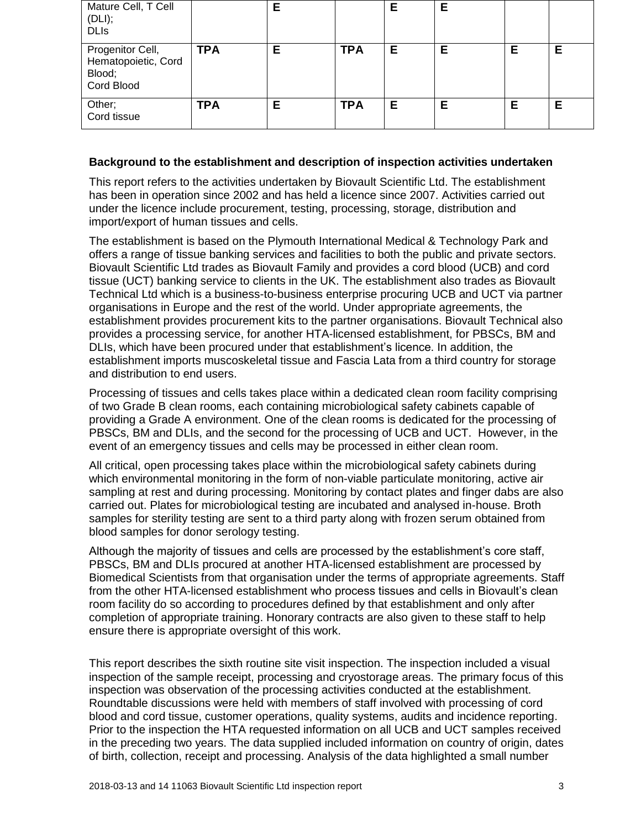| Mature Cell, T Cell<br>(DLI);<br><b>DLIs</b>                    |            | E |            | E | Е |   |   |
|-----------------------------------------------------------------|------------|---|------------|---|---|---|---|
| Progenitor Cell,<br>Hematopoietic, Cord<br>Blood;<br>Cord Blood | <b>TPA</b> | Е | <b>TPA</b> | Е | Ε | Е | E |
| Other;<br>Cord tissue                                           | <b>TPA</b> | Е | <b>TPA</b> | E | Е | Ε | E |

# **Background to the establishment and description of inspection activities undertaken**

This report refers to the activities undertaken by Biovault Scientific Ltd. The establishment has been in operation since 2002 and has held a licence since 2007. Activities carried out under the licence include procurement, testing, processing, storage, distribution and import/export of human tissues and cells.

The establishment is based on the Plymouth International Medical & Technology Park and offers a range of tissue banking services and facilities to both the public and private sectors. Biovault Scientific Ltd trades as Biovault Family and provides a cord blood (UCB) and cord tissue (UCT) banking service to clients in the UK. The establishment also trades as Biovault Technical Ltd which is a business-to-business enterprise procuring UCB and UCT via partner organisations in Europe and the rest of the world. Under appropriate agreements, the establishment provides procurement kits to the partner organisations. Biovault Technical also provides a processing service, for another HTA-licensed establishment, for PBSCs, BM and DLIs, which have been procured under that establishment's licence. In addition, the establishment imports muscoskeletal tissue and Fascia Lata from a third country for storage and distribution to end users.

Processing of tissues and cells takes place within a dedicated clean room facility comprising of two Grade B clean rooms, each containing microbiological safety cabinets capable of providing a Grade A environment. One of the clean rooms is dedicated for the processing of PBSCs, BM and DLIs, and the second for the processing of UCB and UCT. However, in the event of an emergency tissues and cells may be processed in either clean room.

All critical, open processing takes place within the microbiological safety cabinets during which environmental monitoring in the form of non-viable particulate monitoring, active air sampling at rest and during processing. Monitoring by contact plates and finger dabs are also carried out. Plates for microbiological testing are incubated and analysed in-house. Broth samples for sterility testing are sent to a third party along with frozen serum obtained from blood samples for donor serology testing.

Although the majority of tissues and cells are processed by the establishment's core staff, PBSCs, BM and DLIs procured at another HTA-licensed establishment are processed by Biomedical Scientists from that organisation under the terms of appropriate agreements. Staff from the other HTA-licensed establishment who process tissues and cells in Biovault's clean room facility do so according to procedures defined by that establishment and only after completion of appropriate training. Honorary contracts are also given to these staff to help ensure there is appropriate oversight of this work.

This report describes the sixth routine site visit inspection. The inspection included a visual inspection of the sample receipt, processing and cryostorage areas. The primary focus of this inspection was observation of the processing activities conducted at the establishment. Roundtable discussions were held with members of staff involved with processing of cord blood and cord tissue, customer operations, quality systems, audits and incidence reporting. Prior to the inspection the HTA requested information on all UCB and UCT samples received in the preceding two years. The data supplied included information on country of origin, dates of birth, collection, receipt and processing. Analysis of the data highlighted a small number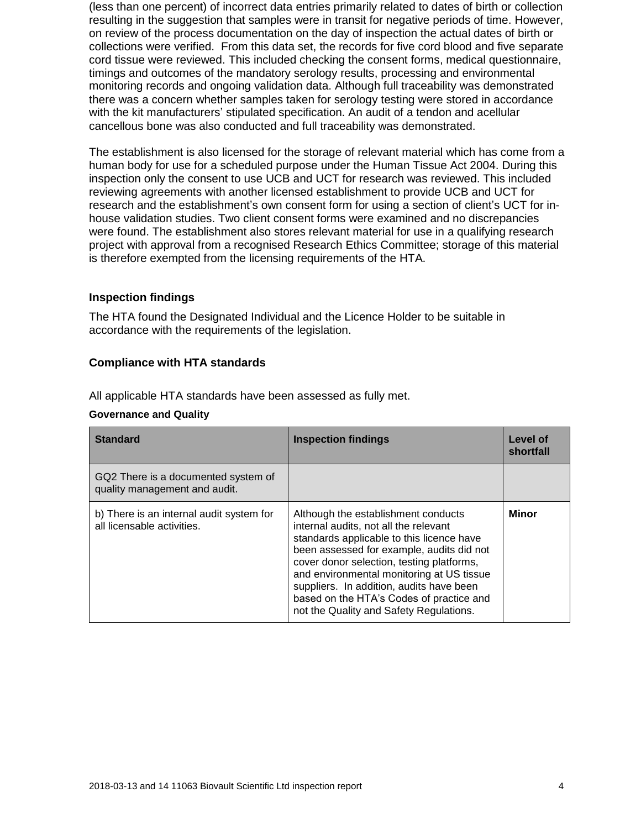(less than one percent) of incorrect data entries primarily related to dates of birth or collection resulting in the suggestion that samples were in transit for negative periods of time. However, on review of the process documentation on the day of inspection the actual dates of birth or collections were verified. From this data set, the records for five cord blood and five separate cord tissue were reviewed. This included checking the consent forms, medical questionnaire, timings and outcomes of the mandatory serology results, processing and environmental monitoring records and ongoing validation data. Although full traceability was demonstrated there was a concern whether samples taken for serology testing were stored in accordance with the kit manufacturers' stipulated specification. An audit of a tendon and acellular cancellous bone was also conducted and full traceability was demonstrated.

The establishment is also licensed for the storage of relevant material which has come from a human body for use for a scheduled purpose under the Human Tissue Act 2004. During this inspection only the consent to use UCB and UCT for research was reviewed. This included reviewing agreements with another licensed establishment to provide UCB and UCT for research and the establishment's own consent form for using a section of client's UCT for inhouse validation studies. Two client consent forms were examined and no discrepancies were found. The establishment also stores relevant material for use in a qualifying research project with approval from a recognised Research Ethics Committee; storage of this material is therefore exempted from the licensing requirements of the HTA.

## **Inspection findings**

The HTA found the Designated Individual and the Licence Holder to be suitable in accordance with the requirements of the legislation.

## **Compliance with HTA standards**

All applicable HTA standards have been assessed as fully met.

## **Governance and Quality**

| <b>Standard</b>                                                        | <b>Inspection findings</b>                                                                                                                                                                                                                                                                                                                                                                          | Level of<br>shortfall |
|------------------------------------------------------------------------|-----------------------------------------------------------------------------------------------------------------------------------------------------------------------------------------------------------------------------------------------------------------------------------------------------------------------------------------------------------------------------------------------------|-----------------------|
| GQ2 There is a documented system of<br>quality management and audit.   |                                                                                                                                                                                                                                                                                                                                                                                                     |                       |
| b) There is an internal audit system for<br>all licensable activities. | Although the establishment conducts<br>internal audits, not all the relevant<br>standards applicable to this licence have<br>been assessed for example, audits did not<br>cover donor selection, testing platforms,<br>and environmental monitoring at US tissue<br>suppliers. In addition, audits have been<br>based on the HTA's Codes of practice and<br>not the Quality and Safety Regulations. | Minor                 |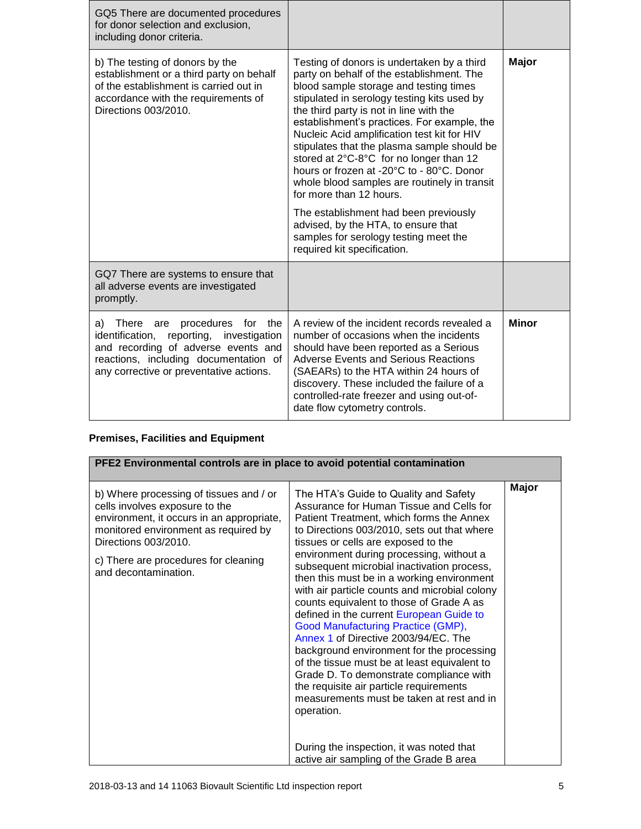| GQ5 There are documented procedures<br>for donor selection and exclusion,<br>including donor criteria.                                                                                                          |                                                                                                                                                                                                                                                                                                                                                                                                                                                                                                                                                                                                                                                                                                     |              |
|-----------------------------------------------------------------------------------------------------------------------------------------------------------------------------------------------------------------|-----------------------------------------------------------------------------------------------------------------------------------------------------------------------------------------------------------------------------------------------------------------------------------------------------------------------------------------------------------------------------------------------------------------------------------------------------------------------------------------------------------------------------------------------------------------------------------------------------------------------------------------------------------------------------------------------------|--------------|
| b) The testing of donors by the<br>establishment or a third party on behalf<br>of the establishment is carried out in<br>accordance with the requirements of<br>Directions 003/2010.                            | Testing of donors is undertaken by a third<br>party on behalf of the establishment. The<br>blood sample storage and testing times<br>stipulated in serology testing kits used by<br>the third party is not in line with the<br>establishment's practices. For example, the<br>Nucleic Acid amplification test kit for HIV<br>stipulates that the plasma sample should be<br>stored at 2°C-8°C for no longer than 12<br>hours or frozen at -20°C to - 80°C. Donor<br>whole blood samples are routinely in transit<br>for more than 12 hours.<br>The establishment had been previously<br>advised, by the HTA, to ensure that<br>samples for serology testing meet the<br>required kit specification. | Major        |
| GQ7 There are systems to ensure that<br>all adverse events are investigated<br>promptly.                                                                                                                        |                                                                                                                                                                                                                                                                                                                                                                                                                                                                                                                                                                                                                                                                                                     |              |
| procedures<br>a) There are<br>for<br>the<br>identification, reporting, investigation<br>and recording of adverse events and<br>reactions, including documentation of<br>any corrective or preventative actions. | A review of the incident records revealed a<br>number of occasions when the incidents<br>should have been reported as a Serious<br><b>Adverse Events and Serious Reactions</b><br>(SAEARs) to the HTA within 24 hours of<br>discovery. These included the failure of a<br>controlled-rate freezer and using out-of-<br>date flow cytometry controls.                                                                                                                                                                                                                                                                                                                                                | <b>Minor</b> |

# **Premises, Facilities and Equipment**

| PFE2 Environmental controls are in place to avoid potential contamination                                                                                                                                                                              |                                                                                                                                                                                                                                                                                                                                                                                                                                                                                                                                                                                                                                                                                                                                                                                                                                                                                                                         |       |  |  |
|--------------------------------------------------------------------------------------------------------------------------------------------------------------------------------------------------------------------------------------------------------|-------------------------------------------------------------------------------------------------------------------------------------------------------------------------------------------------------------------------------------------------------------------------------------------------------------------------------------------------------------------------------------------------------------------------------------------------------------------------------------------------------------------------------------------------------------------------------------------------------------------------------------------------------------------------------------------------------------------------------------------------------------------------------------------------------------------------------------------------------------------------------------------------------------------------|-------|--|--|
| b) Where processing of tissues and / or<br>cells involves exposure to the<br>environment, it occurs in an appropriate,<br>monitored environment as required by<br>Directions 003/2010.<br>c) There are procedures for cleaning<br>and decontamination. | The HTA's Guide to Quality and Safety<br>Assurance for Human Tissue and Cells for<br>Patient Treatment, which forms the Annex<br>to Directions 003/2010, sets out that where<br>tissues or cells are exposed to the<br>environment during processing, without a<br>subsequent microbial inactivation process,<br>then this must be in a working environment<br>with air particle counts and microbial colony<br>counts equivalent to those of Grade A as<br>defined in the current European Guide to<br>Good Manufacturing Practice (GMP),<br>Annex 1 of Directive 2003/94/EC. The<br>background environment for the processing<br>of the tissue must be at least equivalent to<br>Grade D. To demonstrate compliance with<br>the requisite air particle requirements<br>measurements must be taken at rest and in<br>operation.<br>During the inspection, it was noted that<br>active air sampling of the Grade B area | Major |  |  |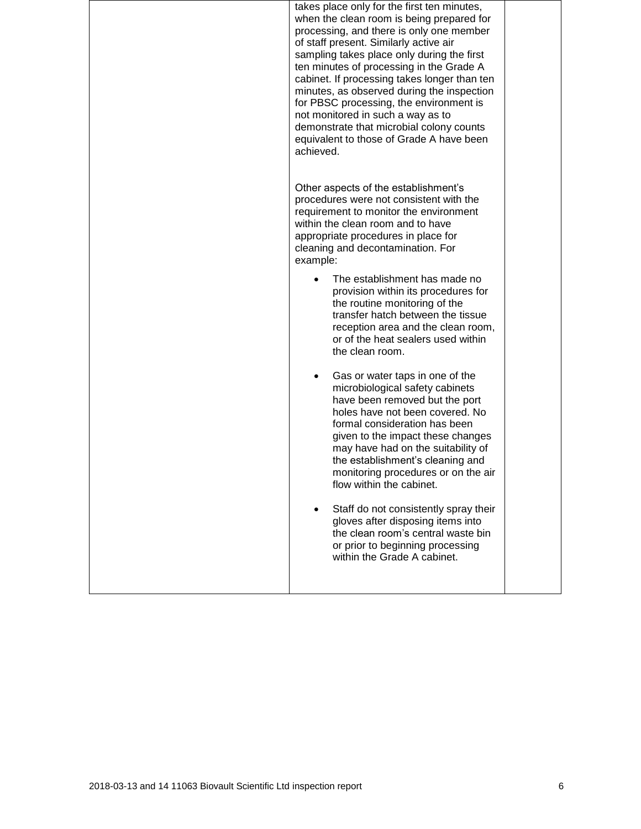| takes place only for the first ten minutes,<br>when the clean room is being prepared for<br>processing, and there is only one member<br>of staff present. Similarly active air<br>sampling takes place only during the first<br>ten minutes of processing in the Grade A<br>cabinet. If processing takes longer than ten<br>minutes, as observed during the inspection<br>for PBSC processing, the environment is<br>not monitored in such a way as to<br>demonstrate that microbial colony counts<br>equivalent to those of Grade A have been<br>achieved. |  |
|-------------------------------------------------------------------------------------------------------------------------------------------------------------------------------------------------------------------------------------------------------------------------------------------------------------------------------------------------------------------------------------------------------------------------------------------------------------------------------------------------------------------------------------------------------------|--|
| Other aspects of the establishment's<br>procedures were not consistent with the<br>requirement to monitor the environment<br>within the clean room and to have<br>appropriate procedures in place for<br>cleaning and decontamination. For<br>example:                                                                                                                                                                                                                                                                                                      |  |
| The establishment has made no<br>provision within its procedures for<br>the routine monitoring of the<br>transfer hatch between the tissue<br>reception area and the clean room,<br>or of the heat sealers used within<br>the clean room.                                                                                                                                                                                                                                                                                                                   |  |
| Gas or water taps in one of the<br>٠<br>microbiological safety cabinets<br>have been removed but the port<br>holes have not been covered. No<br>formal consideration has been<br>given to the impact these changes<br>may have had on the suitability of<br>the establishment's cleaning and<br>monitoring procedures or on the air<br>flow within the cabinet.                                                                                                                                                                                             |  |
| Staff do not consistently spray their<br>gloves after disposing items into<br>the clean room's central waste bin<br>or prior to beginning processing<br>within the Grade A cabinet.                                                                                                                                                                                                                                                                                                                                                                         |  |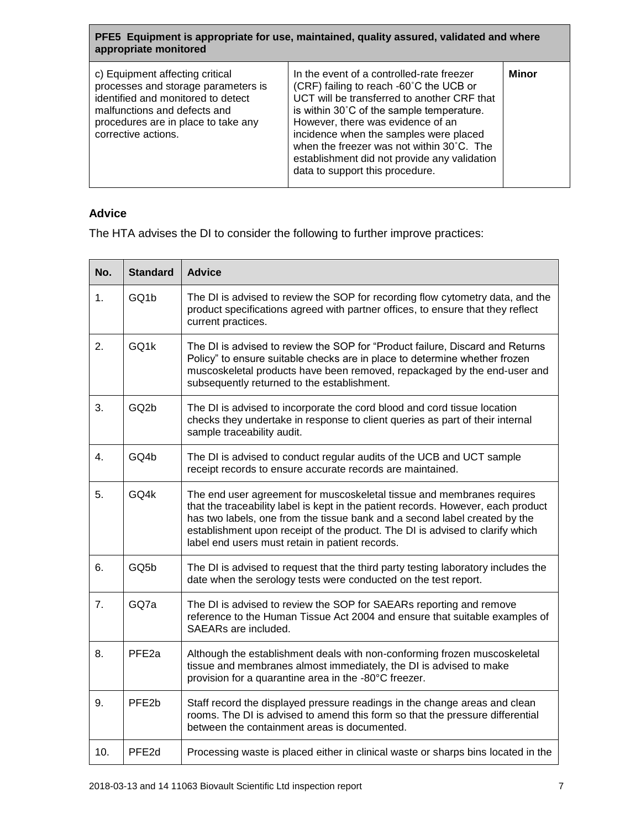**PFE5 Equipment is appropriate for use, maintained, quality assured, validated and where appropriate monitored**

| c) Equipment affecting critical<br>processes and storage parameters is<br>identified and monitored to detect<br>malfunctions and defects and<br>procedures are in place to take any<br>corrective actions. | In the event of a controlled-rate freezer<br>(CRF) failing to reach -60°C the UCB or<br>UCT will be transferred to another CRF that<br>is within 30°C of the sample temperature.<br>However, there was evidence of an<br>incidence when the samples were placed<br>when the freezer was not within 30°C. The<br>establishment did not provide any validation<br>data to support this procedure. | Minor |
|------------------------------------------------------------------------------------------------------------------------------------------------------------------------------------------------------------|-------------------------------------------------------------------------------------------------------------------------------------------------------------------------------------------------------------------------------------------------------------------------------------------------------------------------------------------------------------------------------------------------|-------|

## **Advice**

The HTA advises the DI to consider the following to further improve practices:

| No. | <b>Standard</b>   | <b>Advice</b>                                                                                                                                                                                                                                                                                                                                                                 |
|-----|-------------------|-------------------------------------------------------------------------------------------------------------------------------------------------------------------------------------------------------------------------------------------------------------------------------------------------------------------------------------------------------------------------------|
| 1.  | GQ1b              | The DI is advised to review the SOP for recording flow cytometry data, and the<br>product specifications agreed with partner offices, to ensure that they reflect<br>current practices.                                                                                                                                                                                       |
| 2.  | GQ1k              | The DI is advised to review the SOP for "Product failure, Discard and Returns<br>Policy" to ensure suitable checks are in place to determine whether frozen<br>muscoskeletal products have been removed, repackaged by the end-user and<br>subsequently returned to the establishment.                                                                                        |
| 3.  | GQ <sub>2</sub> b | The DI is advised to incorporate the cord blood and cord tissue location<br>checks they undertake in response to client queries as part of their internal<br>sample traceability audit.                                                                                                                                                                                       |
| 4.  | GQ4b              | The DI is advised to conduct regular audits of the UCB and UCT sample<br>receipt records to ensure accurate records are maintained.                                                                                                                                                                                                                                           |
| 5.  | GO4k              | The end user agreement for muscoskeletal tissue and membranes requires<br>that the traceability label is kept in the patient records. However, each product<br>has two labels, one from the tissue bank and a second label created by the<br>establishment upon receipt of the product. The DI is advised to clarify which<br>label end users must retain in patient records. |
| 6.  | GQ <sub>5</sub> b | The DI is advised to request that the third party testing laboratory includes the<br>date when the serology tests were conducted on the test report.                                                                                                                                                                                                                          |
| 7.  | GQ7a              | The DI is advised to review the SOP for SAEARs reporting and remove<br>reference to the Human Tissue Act 2004 and ensure that suitable examples of<br>SAEARs are included.                                                                                                                                                                                                    |
| 8.  | PFE <sub>2a</sub> | Although the establishment deals with non-conforming frozen muscoskeletal<br>tissue and membranes almost immediately, the DI is advised to make<br>provision for a quarantine area in the -80°C freezer.                                                                                                                                                                      |
| 9.  | PFE <sub>2b</sub> | Staff record the displayed pressure readings in the change areas and clean<br>rooms. The DI is advised to amend this form so that the pressure differential<br>between the containment areas is documented.                                                                                                                                                                   |
| 10. | PFE2d             | Processing waste is placed either in clinical waste or sharps bins located in the                                                                                                                                                                                                                                                                                             |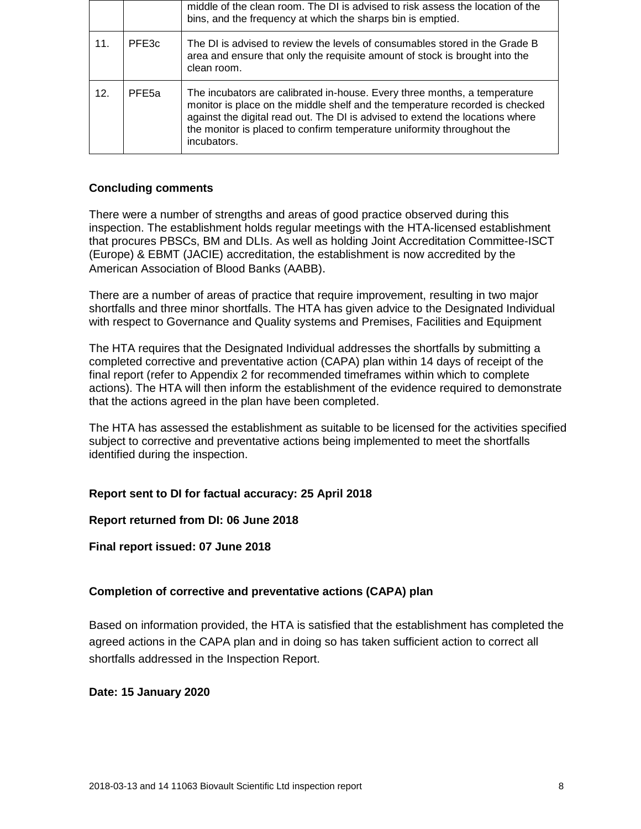|     |                   | middle of the clean room. The DI is advised to risk assess the location of the<br>bins, and the frequency at which the sharps bin is emptied.                                                                                                                                                                                       |
|-----|-------------------|-------------------------------------------------------------------------------------------------------------------------------------------------------------------------------------------------------------------------------------------------------------------------------------------------------------------------------------|
| 11. | PFE3c             | The DI is advised to review the levels of consumables stored in the Grade B<br>area and ensure that only the requisite amount of stock is brought into the<br>clean room.                                                                                                                                                           |
| 12. | PFE <sub>5a</sub> | The incubators are calibrated in-house. Every three months, a temperature<br>monitor is place on the middle shelf and the temperature recorded is checked<br>against the digital read out. The DI is advised to extend the locations where<br>the monitor is placed to confirm temperature uniformity throughout the<br>incubators. |

## **Concluding comments**

There were a number of strengths and areas of good practice observed during this inspection. The establishment holds regular meetings with the HTA-licensed establishment that procures PBSCs, BM and DLIs. As well as holding Joint Accreditation Committee-ISCT (Europe) & EBMT (JACIE) accreditation, the establishment is now accredited by the American Association of Blood Banks [\(AABB\)](http://www.aabb.org/about/Pages/default.aspx).

There are a number of areas of practice that require improvement, resulting in two major shortfalls and three minor shortfalls. The HTA has given advice to the Designated Individual with respect to Governance and Quality systems and Premises, Facilities and Equipment

The HTA requires that the Designated Individual addresses the shortfalls by submitting a completed corrective and preventative action (CAPA) plan within 14 days of receipt of the final report (refer to Appendix 2 for recommended timeframes within which to complete actions). The HTA will then inform the establishment of the evidence required to demonstrate that the actions agreed in the plan have been completed.

The HTA has assessed the establishment as suitable to be licensed for the activities specified subject to corrective and preventative actions being implemented to meet the shortfalls identified during the inspection.

# **Report sent to DI for factual accuracy: 25 April 2018**

**Report returned from DI: 06 June 2018**

**Final report issued: 07 June 2018**

# **Completion of corrective and preventative actions (CAPA) plan**

Based on information provided, the HTA is satisfied that the establishment has completed the agreed actions in the CAPA plan and in doing so has taken sufficient action to correct all shortfalls addressed in the Inspection Report.

**Date: 15 January 2020**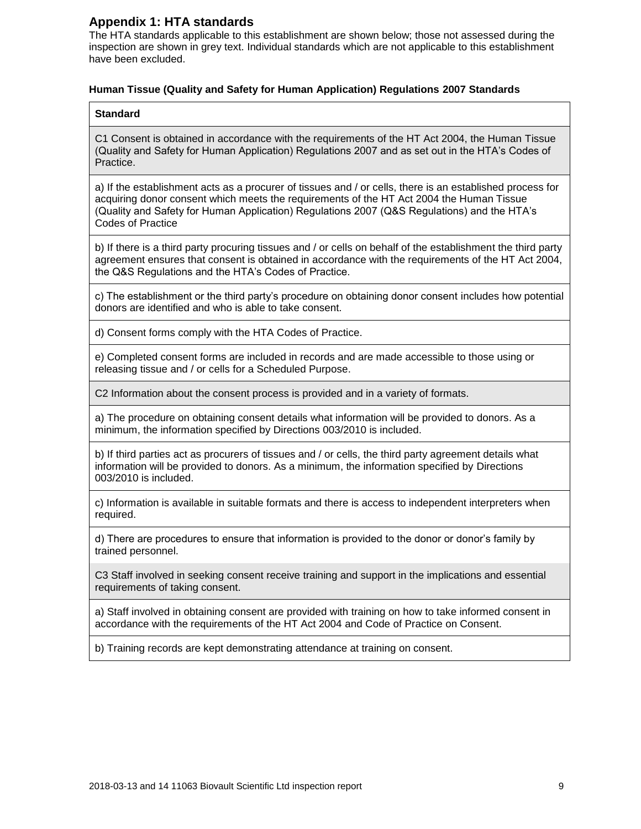## **Appendix 1: HTA standards**

The HTA standards applicable to this establishment are shown below; those not assessed during the inspection are shown in grey text. Individual standards which are not applicable to this establishment have been excluded.

## **Human Tissue (Quality and Safety for Human Application) Regulations 2007 Standards**

### **Standard**

C1 Consent is obtained in accordance with the requirements of the HT Act 2004, the Human Tissue (Quality and Safety for Human Application) Regulations 2007 and as set out in the HTA's Codes of Practice.

a) If the establishment acts as a procurer of tissues and / or cells, there is an established process for acquiring donor consent which meets the requirements of the HT Act 2004 the Human Tissue (Quality and Safety for Human Application) Regulations 2007 (Q&S Regulations) and the HTA's Codes of Practice

b) If there is a third party procuring tissues and / or cells on behalf of the establishment the third party agreement ensures that consent is obtained in accordance with the requirements of the HT Act 2004, the Q&S Regulations and the HTA's Codes of Practice.

c) The establishment or the third party's procedure on obtaining donor consent includes how potential donors are identified and who is able to take consent.

d) Consent forms comply with the HTA Codes of Practice.

e) Completed consent forms are included in records and are made accessible to those using or releasing tissue and / or cells for a Scheduled Purpose.

C2 Information about the consent process is provided and in a variety of formats.

a) The procedure on obtaining consent details what information will be provided to donors. As a minimum, the information specified by Directions 003/2010 is included.

b) If third parties act as procurers of tissues and / or cells, the third party agreement details what information will be provided to donors. As a minimum, the information specified by Directions 003/2010 is included.

c) Information is available in suitable formats and there is access to independent interpreters when required.

d) There are procedures to ensure that information is provided to the donor or donor's family by trained personnel.

C3 Staff involved in seeking consent receive training and support in the implications and essential requirements of taking consent.

a) Staff involved in obtaining consent are provided with training on how to take informed consent in accordance with the requirements of the HT Act 2004 and Code of Practice on Consent.

b) Training records are kept demonstrating attendance at training on consent.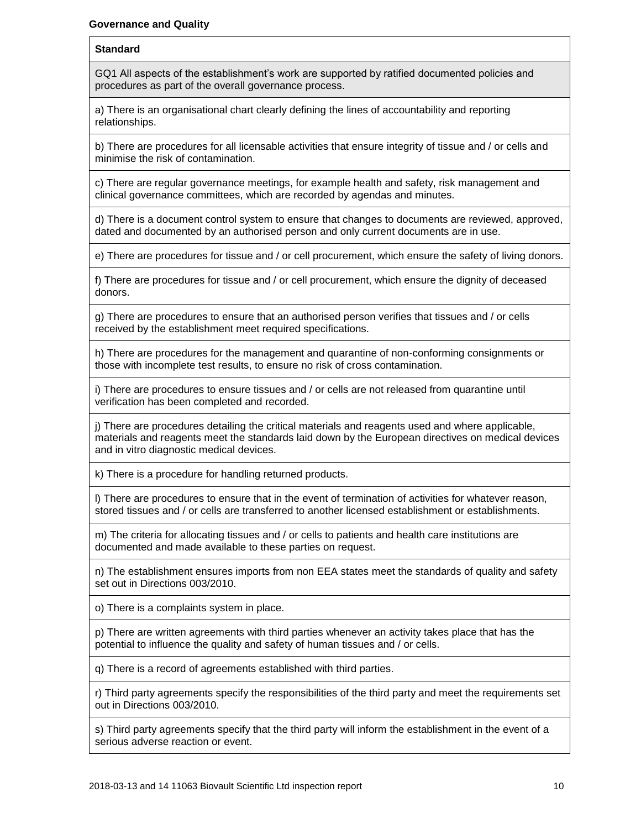### **Standard**

GQ1 All aspects of the establishment's work are supported by ratified documented policies and procedures as part of the overall governance process.

a) There is an organisational chart clearly defining the lines of accountability and reporting relationships.

b) There are procedures for all licensable activities that ensure integrity of tissue and / or cells and minimise the risk of contamination.

c) There are regular governance meetings, for example health and safety, risk management and clinical governance committees, which are recorded by agendas and minutes.

d) There is a document control system to ensure that changes to documents are reviewed, approved, dated and documented by an authorised person and only current documents are in use.

e) There are procedures for tissue and / or cell procurement, which ensure the safety of living donors.

f) There are procedures for tissue and / or cell procurement, which ensure the dignity of deceased donors.

g) There are procedures to ensure that an authorised person verifies that tissues and / or cells received by the establishment meet required specifications.

h) There are procedures for the management and quarantine of non-conforming consignments or those with incomplete test results, to ensure no risk of cross contamination.

i) There are procedures to ensure tissues and / or cells are not released from quarantine until verification has been completed and recorded.

j) There are procedures detailing the critical materials and reagents used and where applicable, materials and reagents meet the standards laid down by the European directives on medical devices and in vitro diagnostic medical devices.

k) There is a procedure for handling returned products.

l) There are procedures to ensure that in the event of termination of activities for whatever reason, stored tissues and / or cells are transferred to another licensed establishment or establishments.

m) The criteria for allocating tissues and / or cells to patients and health care institutions are documented and made available to these parties on request.

n) The establishment ensures imports from non EEA states meet the standards of quality and safety set out in Directions 003/2010.

o) There is a complaints system in place.

p) There are written agreements with third parties whenever an activity takes place that has the potential to influence the quality and safety of human tissues and / or cells.

q) There is a record of agreements established with third parties.

r) Third party agreements specify the responsibilities of the third party and meet the requirements set out in Directions 003/2010.

s) Third party agreements specify that the third party will inform the establishment in the event of a serious adverse reaction or event.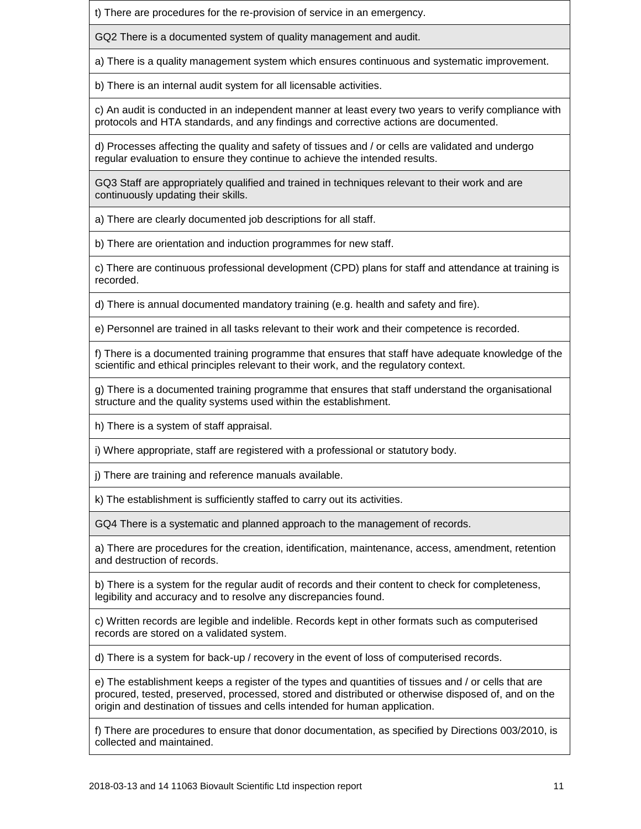t) There are procedures for the re-provision of service in an emergency.

GQ2 There is a documented system of quality management and audit.

a) There is a quality management system which ensures continuous and systematic improvement.

b) There is an internal audit system for all licensable activities.

c) An audit is conducted in an independent manner at least every two years to verify compliance with protocols and HTA standards, and any findings and corrective actions are documented.

d) Processes affecting the quality and safety of tissues and / or cells are validated and undergo regular evaluation to ensure they continue to achieve the intended results.

GQ3 Staff are appropriately qualified and trained in techniques relevant to their work and are continuously updating their skills.

a) There are clearly documented job descriptions for all staff.

b) There are orientation and induction programmes for new staff.

c) There are continuous professional development (CPD) plans for staff and attendance at training is recorded.

d) There is annual documented mandatory training (e.g. health and safety and fire).

e) Personnel are trained in all tasks relevant to their work and their competence is recorded.

f) There is a documented training programme that ensures that staff have adequate knowledge of the scientific and ethical principles relevant to their work, and the regulatory context.

g) There is a documented training programme that ensures that staff understand the organisational structure and the quality systems used within the establishment.

h) There is a system of staff appraisal.

i) Where appropriate, staff are registered with a professional or statutory body.

j) There are training and reference manuals available.

k) The establishment is sufficiently staffed to carry out its activities.

GQ4 There is a systematic and planned approach to the management of records.

a) There are procedures for the creation, identification, maintenance, access, amendment, retention and destruction of records.

b) There is a system for the regular audit of records and their content to check for completeness, legibility and accuracy and to resolve any discrepancies found.

c) Written records are legible and indelible. Records kept in other formats such as computerised records are stored on a validated system.

d) There is a system for back-up / recovery in the event of loss of computerised records.

e) The establishment keeps a register of the types and quantities of tissues and / or cells that are procured, tested, preserved, processed, stored and distributed or otherwise disposed of, and on the origin and destination of tissues and cells intended for human application.

f) There are procedures to ensure that donor documentation, as specified by Directions 003/2010, is collected and maintained.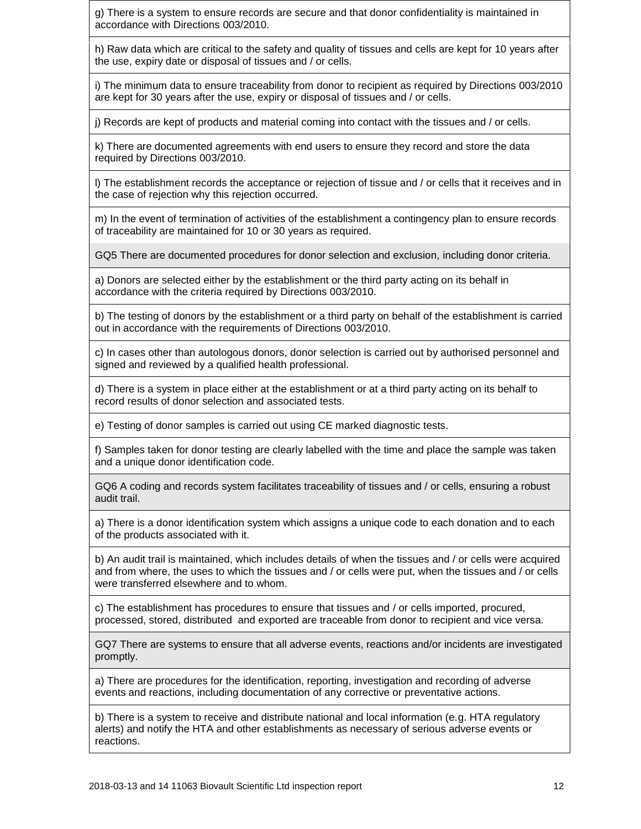g) There is a system to ensure records are secure and that donor confidentiality is maintained in accordance with Directions 003/2010.

h) Raw data which are critical to the safety and quality of tissues and cells are kept for 10 years after the use, expiry date or disposal of tissues and / or cells.

i) The minimum data to ensure traceability from donor to recipient as required by Directions 003/2010 are kept for 30 years after the use, expiry or disposal of tissues and / or cells.

j) Records are kept of products and material coming into contact with the tissues and / or cells.

k) There are documented agreements with end users to ensure they record and store the data required by Directions 003/2010.

l) The establishment records the acceptance or rejection of tissue and / or cells that it receives and in the case of rejection why this rejection occurred.

m) In the event of termination of activities of the establishment a contingency plan to ensure records of traceability are maintained for 10 or 30 years as required.

GQ5 There are documented procedures for donor selection and exclusion, including donor criteria.

a) Donors are selected either by the establishment or the third party acting on its behalf in accordance with the criteria required by Directions 003/2010.

b) The testing of donors by the establishment or a third party on behalf of the establishment is carried out in accordance with the requirements of Directions 003/2010.

c) In cases other than autologous donors, donor selection is carried out by authorised personnel and signed and reviewed by a qualified health professional.

d) There is a system in place either at the establishment or at a third party acting on its behalf to record results of donor selection and associated tests.

e) Testing of donor samples is carried out using CE marked diagnostic tests.

f) Samples taken for donor testing are clearly labelled with the time and place the sample was taken and a unique donor identification code.

GQ6 A coding and records system facilitates traceability of tissues and / or cells, ensuring a robust audit trail.

a) There is a donor identification system which assigns a unique code to each donation and to each of the products associated with it.

b) An audit trail is maintained, which includes details of when the tissues and / or cells were acquired and from where, the uses to which the tissues and / or cells were put, when the tissues and / or cells were transferred elsewhere and to whom.

c) The establishment has procedures to ensure that tissues and / or cells imported, procured, processed, stored, distributed and exported are traceable from donor to recipient and vice versa.

GQ7 There are systems to ensure that all adverse events, reactions and/or incidents are investigated promptly.

a) There are procedures for the identification, reporting, investigation and recording of adverse events and reactions, including documentation of any corrective or preventative actions.

b) There is a system to receive and distribute national and local information (e.g. HTA regulatory alerts) and notify the HTA and other establishments as necessary of serious adverse events or reactions.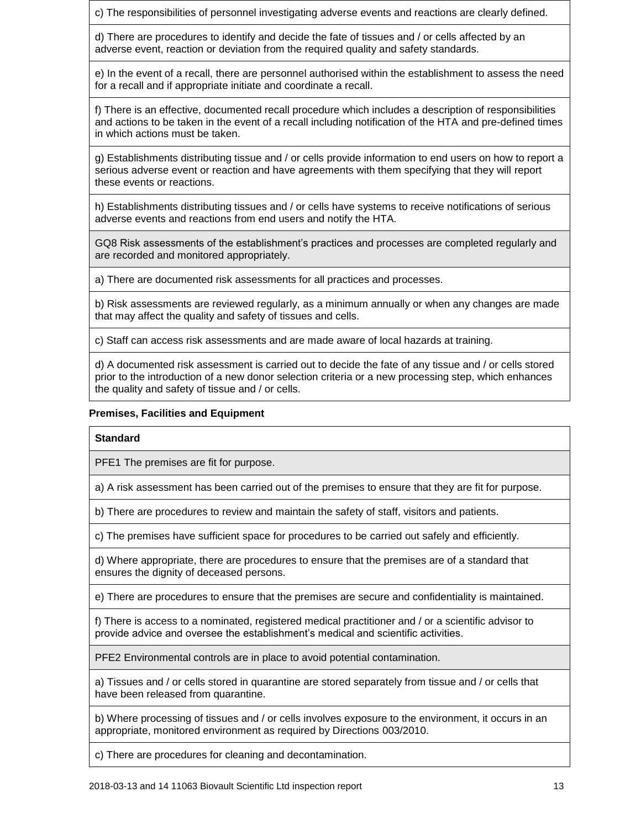c) The responsibilities of personnel investigating adverse events and reactions are clearly defined.

d) There are procedures to identify and decide the fate of tissues and / or cells affected by an adverse event, reaction or deviation from the required quality and safety standards.

e) In the event of a recall, there are personnel authorised within the establishment to assess the need for a recall and if appropriate initiate and coordinate a recall.

f) There is an effective, documented recall procedure which includes a description of responsibilities and actions to be taken in the event of a recall including notification of the HTA and pre-defined times in which actions must be taken.

g) Establishments distributing tissue and / or cells provide information to end users on how to report a serious adverse event or reaction and have agreements with them specifying that they will report these events or reactions.

h) Establishments distributing tissues and / or cells have systems to receive notifications of serious adverse events and reactions from end users and notify the HTA.

GQ8 Risk assessments of the establishment's practices and processes are completed regularly and are recorded and monitored appropriately.

a) There are documented risk assessments for all practices and processes.

b) Risk assessments are reviewed regularly, as a minimum annually or when any changes are made that may affect the quality and safety of tissues and cells.

c) Staff can access risk assessments and are made aware of local hazards at training.

d) A documented risk assessment is carried out to decide the fate of any tissue and / or cells stored prior to the introduction of a new donor selection criteria or a new processing step, which enhances the quality and safety of tissue and / or cells.

## **Premises, Facilities and Equipment**

### **Standard**

PFE1 The premises are fit for purpose.

a) A risk assessment has been carried out of the premises to ensure that they are fit for purpose.

b) There are procedures to review and maintain the safety of staff, visitors and patients.

c) The premises have sufficient space for procedures to be carried out safely and efficiently.

d) Where appropriate, there are procedures to ensure that the premises are of a standard that ensures the dignity of deceased persons.

e) There are procedures to ensure that the premises are secure and confidentiality is maintained.

f) There is access to a nominated, registered medical practitioner and / or a scientific advisor to provide advice and oversee the establishment's medical and scientific activities.

PFE2 Environmental controls are in place to avoid potential contamination.

a) Tissues and / or cells stored in quarantine are stored separately from tissue and / or cells that have been released from quarantine.

b) Where processing of tissues and / or cells involves exposure to the environment, it occurs in an appropriate, monitored environment as required by Directions 003/2010.

c) There are procedures for cleaning and decontamination.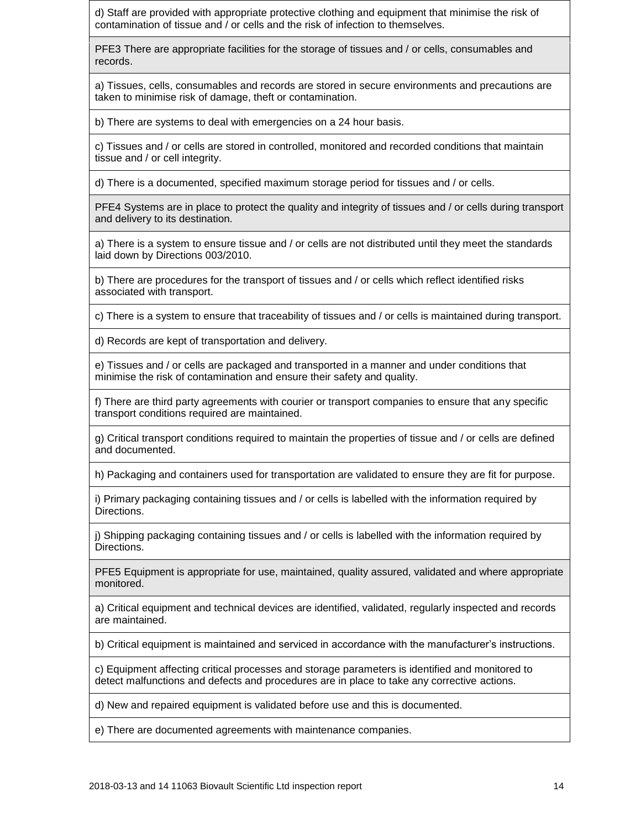d) Staff are provided with appropriate protective clothing and equipment that minimise the risk of contamination of tissue and / or cells and the risk of infection to themselves.

PFE3 There are appropriate facilities for the storage of tissues and / or cells, consumables and records.

a) Tissues, cells, consumables and records are stored in secure environments and precautions are taken to minimise risk of damage, theft or contamination.

b) There are systems to deal with emergencies on a 24 hour basis.

c) Tissues and / or cells are stored in controlled, monitored and recorded conditions that maintain tissue and / or cell integrity.

d) There is a documented, specified maximum storage period for tissues and / or cells.

PFE4 Systems are in place to protect the quality and integrity of tissues and / or cells during transport and delivery to its destination.

a) There is a system to ensure tissue and / or cells are not distributed until they meet the standards laid down by Directions 003/2010.

b) There are procedures for the transport of tissues and / or cells which reflect identified risks associated with transport.

c) There is a system to ensure that traceability of tissues and / or cells is maintained during transport.

d) Records are kept of transportation and delivery.

e) Tissues and / or cells are packaged and transported in a manner and under conditions that minimise the risk of contamination and ensure their safety and quality.

f) There are third party agreements with courier or transport companies to ensure that any specific transport conditions required are maintained.

g) Critical transport conditions required to maintain the properties of tissue and / or cells are defined and documented.

h) Packaging and containers used for transportation are validated to ensure they are fit for purpose.

i) Primary packaging containing tissues and / or cells is labelled with the information required by Directions.

j) Shipping packaging containing tissues and / or cells is labelled with the information required by Directions.

PFE5 Equipment is appropriate for use, maintained, quality assured, validated and where appropriate monitored.

a) Critical equipment and technical devices are identified, validated, regularly inspected and records are maintained.

b) Critical equipment is maintained and serviced in accordance with the manufacturer's instructions.

c) Equipment affecting critical processes and storage parameters is identified and monitored to detect malfunctions and defects and procedures are in place to take any corrective actions.

d) New and repaired equipment is validated before use and this is documented.

e) There are documented agreements with maintenance companies.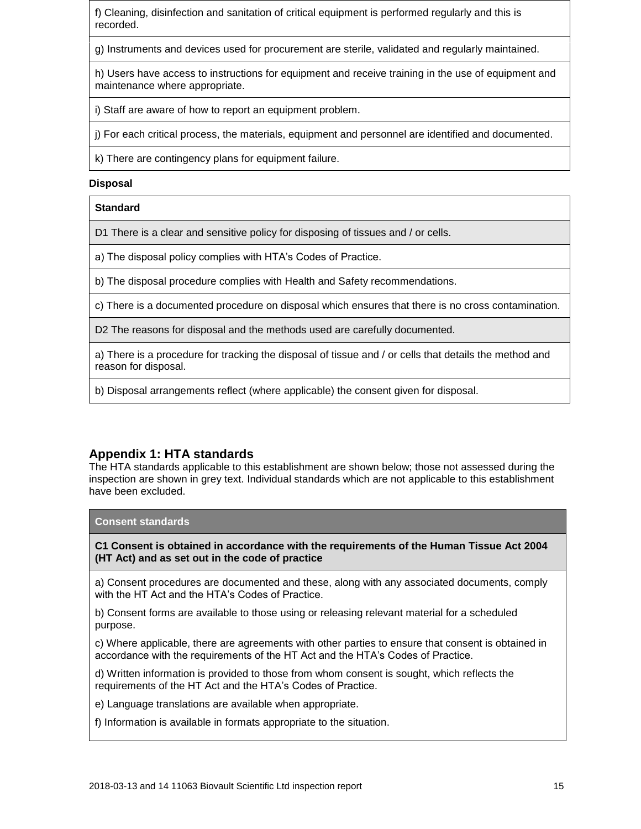f) Cleaning, disinfection and sanitation of critical equipment is performed regularly and this is recorded.

g) Instruments and devices used for procurement are sterile, validated and regularly maintained.

h) Users have access to instructions for equipment and receive training in the use of equipment and maintenance where appropriate.

i) Staff are aware of how to report an equipment problem.

j) For each critical process, the materials, equipment and personnel are identified and documented.

k) There are contingency plans for equipment failure.

#### **Disposal**

### **Standard**

D1 There is a clear and sensitive policy for disposing of tissues and / or cells.

a) The disposal policy complies with HTA's Codes of Practice.

b) The disposal procedure complies with Health and Safety recommendations.

c) There is a documented procedure on disposal which ensures that there is no cross contamination.

D2 The reasons for disposal and the methods used are carefully documented.

a) There is a procedure for tracking the disposal of tissue and / or cells that details the method and reason for disposal.

b) Disposal arrangements reflect (where applicable) the consent given for disposal.

## **Appendix 1: HTA standards**

The HTA standards applicable to this establishment are shown below; those not assessed during the inspection are shown in grey text. Individual standards which are not applicable to this establishment have been excluded.

#### **Consent standards**

**C1 Consent is obtained in accordance with the requirements of the Human Tissue Act 2004 (HT Act) and as set out in the code of practice**

a) Consent procedures are documented and these, along with any associated documents, comply with the HT Act and the HTA's Codes of Practice.

b) Consent forms are available to those using or releasing relevant material for a scheduled purpose.

c) Where applicable, there are agreements with other parties to ensure that consent is obtained in accordance with the requirements of the HT Act and the HTA's Codes of Practice.

d) Written information is provided to those from whom consent is sought, which reflects the requirements of the HT Act and the HTA's Codes of Practice.

e) Language translations are available when appropriate.

f) Information is available in formats appropriate to the situation.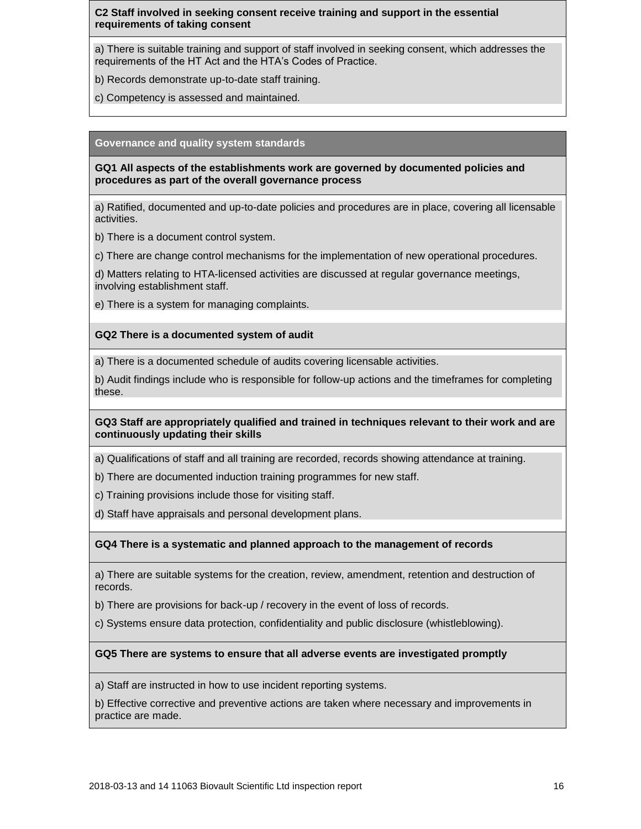## **C2 Staff involved in seeking consent receive training and support in the essential requirements of taking consent**

a) There is suitable training and support of staff involved in seeking consent, which addresses the requirements of the HT Act and the HTA's Codes of Practice.

- b) Records demonstrate up-to-date staff training.
- c) Competency is assessed and maintained.

#### **Governance and quality system standards**

**GQ1 All aspects of the establishments work are governed by documented policies and procedures as part of the overall governance process**

a) Ratified, documented and up-to-date policies and procedures are in place, covering all licensable activities.

b) There is a document control system.

c) There are change control mechanisms for the implementation of new operational procedures.

d) Matters relating to HTA-licensed activities are discussed at regular governance meetings, involving establishment staff.

e) There is a system for managing complaints.

### **GQ2 There is a documented system of audit**

a) There is a documented schedule of audits covering licensable activities.

b) Audit findings include who is responsible for follow-up actions and the timeframes for completing these.

### **GQ3 Staff are appropriately qualified and trained in techniques relevant to their work and are continuously updating their skills**

a) Qualifications of staff and all training are recorded, records showing attendance at training.

- b) There are documented induction training programmes for new staff.
- c) Training provisions include those for visiting staff.
- d) Staff have appraisals and personal development plans.

### **GQ4 There is a systematic and planned approach to the management of records**

a) There are suitable systems for the creation, review, amendment, retention and destruction of records.

b) There are provisions for back-up / recovery in the event of loss of records.

c) Systems ensure data protection, confidentiality and public disclosure (whistleblowing).

### **GQ5 There are systems to ensure that all adverse events are investigated promptly**

a) Staff are instructed in how to use incident reporting systems.

b) Effective corrective and preventive actions are taken where necessary and improvements in practice are made.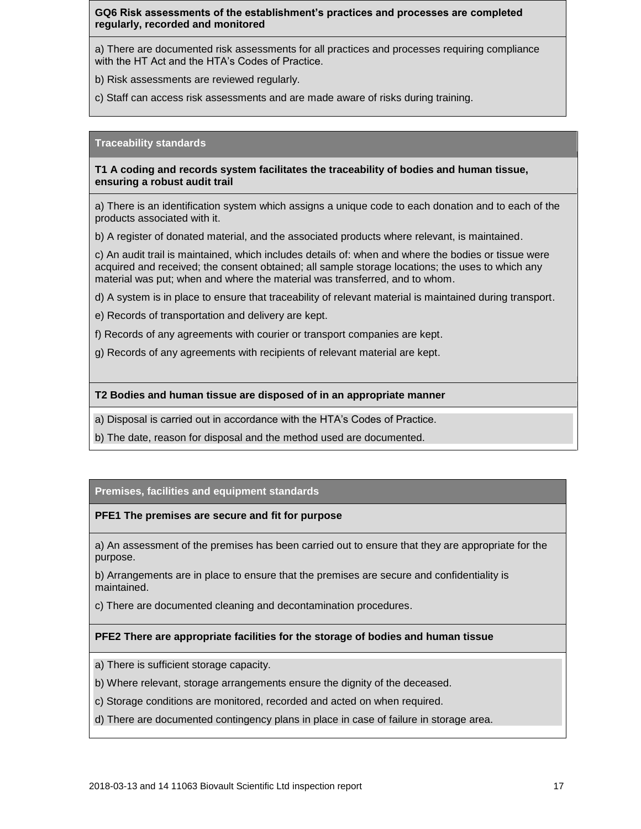## **GQ6 Risk assessments of the establishment's practices and processes are completed regularly, recorded and monitored**

a) There are documented risk assessments for all practices and processes requiring compliance with the HT Act and the HTA's Codes of Practice.

b) Risk assessments are reviewed regularly.

c) Staff can access risk assessments and are made aware of risks during training.

#### **Traceability standards**

**T1 A coding and records system facilitates the traceability of bodies and human tissue, ensuring a robust audit trail**

a) There is an identification system which assigns a unique code to each donation and to each of the products associated with it.

b) A register of donated material, and the associated products where relevant, is maintained.

c) An audit trail is maintained, which includes details of: when and where the bodies or tissue were acquired and received; the consent obtained; all sample storage locations; the uses to which any material was put; when and where the material was transferred, and to whom.

d) A system is in place to ensure that traceability of relevant material is maintained during transport.

e) Records of transportation and delivery are kept.

f) Records of any agreements with courier or transport companies are kept.

g) Records of any agreements with recipients of relevant material are kept.

#### **T2 Bodies and human tissue are disposed of in an appropriate manner**

a) Disposal is carried out in accordance with the HTA's Codes of Practice.

b) The date, reason for disposal and the method used are documented.

### **Premises, facilities and equipment standards**

### **PFE1 The premises are secure and fit for purpose**

a) An assessment of the premises has been carried out to ensure that they are appropriate for the purpose.

b) Arrangements are in place to ensure that the premises are secure and confidentiality is maintained.

c) There are documented cleaning and decontamination procedures.

### **PFE2 There are appropriate facilities for the storage of bodies and human tissue**

a) There is sufficient storage capacity.

- b) Where relevant, storage arrangements ensure the dignity of the deceased.
- c) Storage conditions are monitored, recorded and acted on when required.
- d) There are documented contingency plans in place in case of failure in storage area.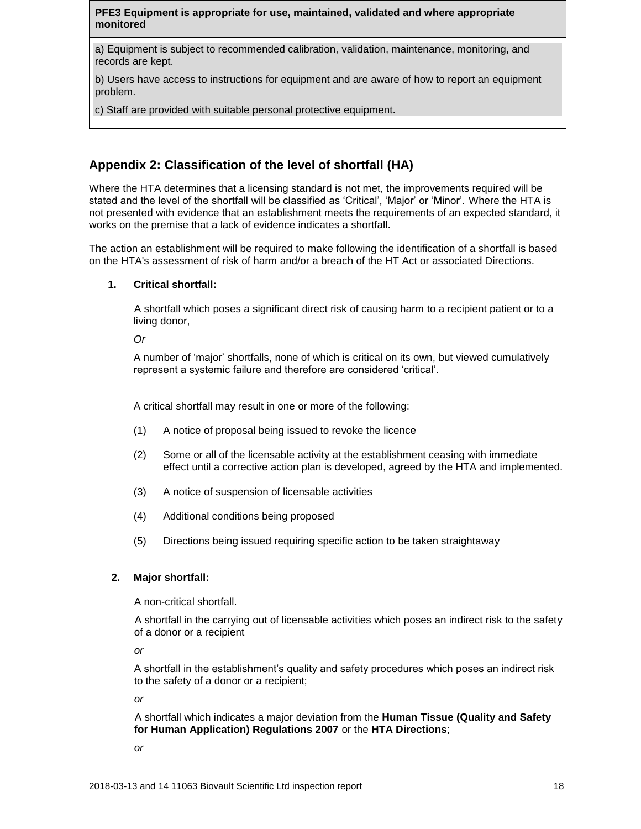### **PFE3 Equipment is appropriate for use, maintained, validated and where appropriate monitored**

a) Equipment is subject to recommended calibration, validation, maintenance, monitoring, and records are kept.

b) Users have access to instructions for equipment and are aware of how to report an equipment problem.

c) Staff are provided with suitable personal protective equipment.

## **Appendix 2: Classification of the level of shortfall (HA)**

Where the HTA determines that a licensing standard is not met, the improvements required will be stated and the level of the shortfall will be classified as 'Critical', 'Major' or 'Minor'. Where the HTA is not presented with evidence that an establishment meets the requirements of an expected standard, it works on the premise that a lack of evidence indicates a shortfall.

The action an establishment will be required to make following the identification of a shortfall is based on the HTA's assessment of risk of harm and/or a breach of the HT Act or associated Directions.

### **1. Critical shortfall:**

A shortfall which poses a significant direct risk of causing harm to a recipient patient or to a living donor,

*Or*

A number of 'major' shortfalls, none of which is critical on its own, but viewed cumulatively represent a systemic failure and therefore are considered 'critical'.

A critical shortfall may result in one or more of the following:

- (1) A notice of proposal being issued to revoke the licence
- (2) Some or all of the licensable activity at the establishment ceasing with immediate effect until a corrective action plan is developed, agreed by the HTA and implemented.
- (3) A notice of suspension of licensable activities
- (4) Additional conditions being proposed
- (5) Directions being issued requiring specific action to be taken straightaway

### **2. Major shortfall:**

A non-critical shortfall.

A shortfall in the carrying out of licensable activities which poses an indirect risk to the safety of a donor or a recipient

*or*

A shortfall in the establishment's quality and safety procedures which poses an indirect risk to the safety of a donor or a recipient;

*or*

A shortfall which indicates a major deviation from the **Human Tissue (Quality and Safety for Human Application) Regulations 2007** or the **HTA Directions**;

*or*